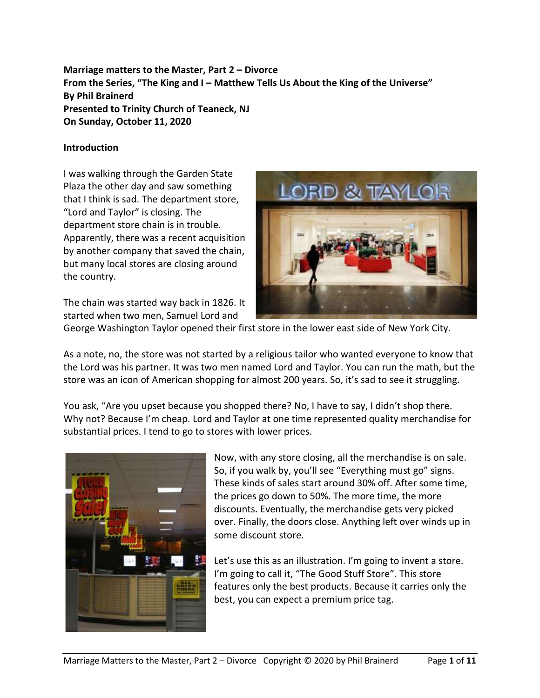**Marriage matters to the Master, Part 2 – Divorce From the Series, "The King and I – Matthew Tells Us About the King of the Universe" By Phil Brainerd Presented to Trinity Church of Teaneck, NJ On Sunday, October 11, 2020**

### **Introduction**

I was walking through the Garden State Plaza the other day and saw something that I think is sad. The department store, "Lord and Taylor" is closing. The department store chain is in trouble. Apparently, there was a recent acquisition by another company that saved the chain, but many local stores are closing around the country.



The chain was started way back in 1826. It started when two men, Samuel Lord and

George Washington Taylor opened their first store in the lower east side of New York City.

As a note, no, the store was not started by a religious tailor who wanted everyone to know that the Lord was his partner. It was two men named Lord and Taylor. You can run the math, but the store was an icon of American shopping for almost 200 years. So, it's sad to see it struggling.

You ask, "Are you upset because you shopped there? No, I have to say, I didn't shop there. Why not? Because I'm cheap. Lord and Taylor at one time represented quality merchandise for substantial prices. I tend to go to stores with lower prices.



Now, with any store closing, all the merchandise is on sale. So, if you walk by, you'll see "Everything must go" signs. These kinds of sales start around 30% off. After some time, the prices go down to 50%. The more time, the more discounts. Eventually, the merchandise gets very picked over. Finally, the doors close. Anything left over winds up in some discount store.

Let's use this as an illustration. I'm going to invent a store. I'm going to call it, "The Good Stuff Store". This store features only the best products. Because it carries only the best, you can expect a premium price tag.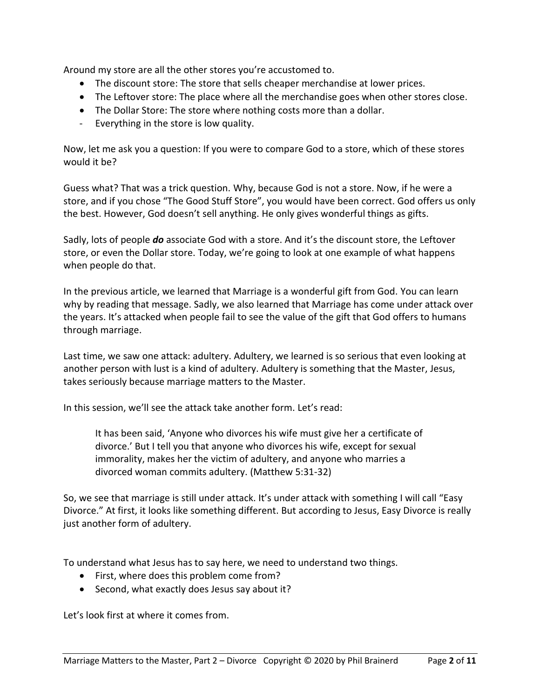Around my store are all the other stores you're accustomed to.

- The discount store: The store that sells cheaper merchandise at lower prices.
- The Leftover store: The place where all the merchandise goes when other stores close.
- The Dollar Store: The store where nothing costs more than a dollar.
- Everything in the store is low quality.

Now, let me ask you a question: If you were to compare God to a store, which of these stores would it be?

Guess what? That was a trick question. Why, because God is not a store. Now, if he were a store, and if you chose "The Good Stuff Store", you would have been correct. God offers us only the best. However, God doesn't sell anything. He only gives wonderful things as gifts.

Sadly, lots of people *do* associate God with a store. And it's the discount store, the Leftover store, or even the Dollar store. Today, we're going to look at one example of what happens when people do that.

In the previous article, we learned that Marriage is a wonderful gift from God. You can learn why by reading that message. Sadly, we also learned that Marriage has come under attack over the years. It's attacked when people fail to see the value of the gift that God offers to humans through marriage.

Last time, we saw one attack: adultery. Adultery, we learned is so serious that even looking at another person with lust is a kind of adultery. Adultery is something that the Master, Jesus, takes seriously because marriage matters to the Master.

In this session, we'll see the attack take another form. Let's read:

It has been said, 'Anyone who divorces his wife must give her a certificate of divorce.' But I tell you that anyone who divorces his wife, except for sexual immorality, makes her the victim of adultery, and anyone who marries a divorced woman commits adultery. (Matthew 5:31-32)

So, we see that marriage is still under attack. It's under attack with something I will call "Easy Divorce." At first, it looks like something different. But according to Jesus, Easy Divorce is really just another form of adultery.

To understand what Jesus has to say here, we need to understand two things.

- First, where does this problem come from?
- Second, what exactly does Jesus say about it?

Let's look first at where it comes from.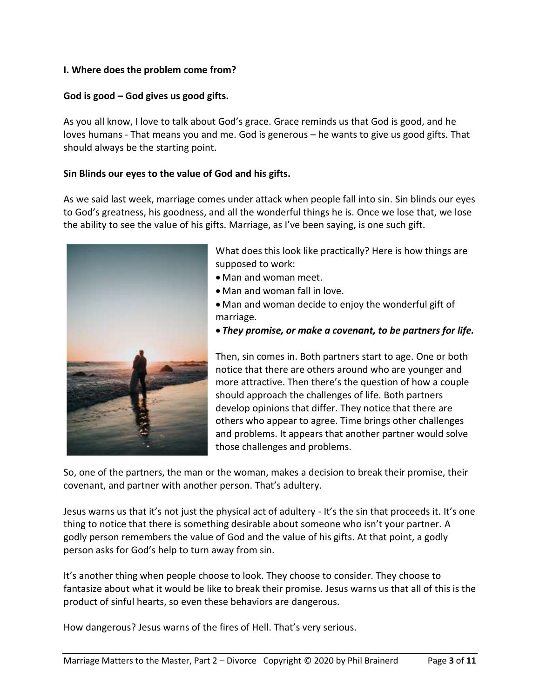### **I. Where does the problem come from?**

## **God is good – God gives us good gifts.**

As you all know, I love to talk about God's grace. Grace reminds us that God is good, and he loves humans - That means you and me. God is generous – he wants to give us good gifts. That should always be the starting point.

## **Sin Blinds our eyes to the value of God and his gifts.**

As we said last week, marriage comes under attack when people fall into sin. Sin blinds our eyes to God's greatness, his goodness, and all the wonderful things he is. Once we lose that, we lose the ability to see the value of his gifts. Marriage, as I've been saying, is one such gift.



What does this look like practically? Here is how things are supposed to work:

- Man and woman meet.
- Man and woman fall in love.
- Man and woman decide to enjoy the wonderful gift of marriage.
- *They promise, or make a covenant, to be partners for life.*

Then, sin comes in. Both partners start to age. One or both notice that there are others around who are younger and more attractive. Then there's the question of how a couple should approach the challenges of life. Both partners develop opinions that differ. They notice that there are others who appear to agree. Time brings other challenges and problems. It appears that another partner would solve those challenges and problems.

So, one of the partners, the man or the woman, makes a decision to break their promise, their covenant, and partner with another person. That's adultery.

Jesus warns us that it's not just the physical act of adultery - It's the sin that proceeds it. It's one thing to notice that there is something desirable about someone who isn't your partner. A godly person remembers the value of God and the value of his gifts. At that point, a godly person asks for God's help to turn away from sin.

It's another thing when people choose to look. They choose to consider. They choose to fantasize about what it would be like to break their promise. Jesus warns us that all of this is the product of sinful hearts, so even these behaviors are dangerous.

How dangerous? Jesus warns of the fires of Hell. That's very serious.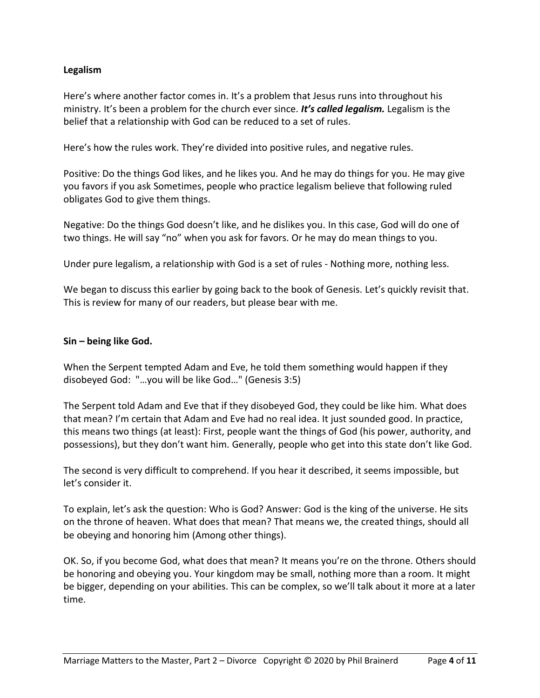## **Legalism**

Here's where another factor comes in. It's a problem that Jesus runs into throughout his ministry. It's been a problem for the church ever since. *It's called legalism.* Legalism is the belief that a relationship with God can be reduced to a set of rules.

Here's how the rules work. They're divided into positive rules, and negative rules.

Positive: Do the things God likes, and he likes you. And he may do things for you. He may give you favors if you ask Sometimes, people who practice legalism believe that following ruled obligates God to give them things.

Negative: Do the things God doesn't like, and he dislikes you. In this case, God will do one of two things. He will say "no" when you ask for favors. Or he may do mean things to you.

Under pure legalism, a relationship with God is a set of rules - Nothing more, nothing less.

We began to discuss this earlier by going back to the book of Genesis. Let's quickly revisit that. This is review for many of our readers, but please bear with me.

#### **Sin – being like God.**

When the Serpent tempted Adam and Eve, he told them something would happen if they disobeyed God: "…you will be like God…" (Genesis 3:5)

The Serpent told Adam and Eve that if they disobeyed God, they could be like him. What does that mean? I'm certain that Adam and Eve had no real idea. It just sounded good. In practice, this means two things (at least): First, people want the things of God (his power, authority, and possessions), but they don't want him. Generally, people who get into this state don't like God.

The second is very difficult to comprehend. If you hear it described, it seems impossible, but let's consider it.

To explain, let's ask the question: Who is God? Answer: God is the king of the universe. He sits on the throne of heaven. What does that mean? That means we, the created things, should all be obeying and honoring him (Among other things).

OK. So, if you become God, what does that mean? It means you're on the throne. Others should be honoring and obeying you. Your kingdom may be small, nothing more than a room. It might be bigger, depending on your abilities. This can be complex, so we'll talk about it more at a later time.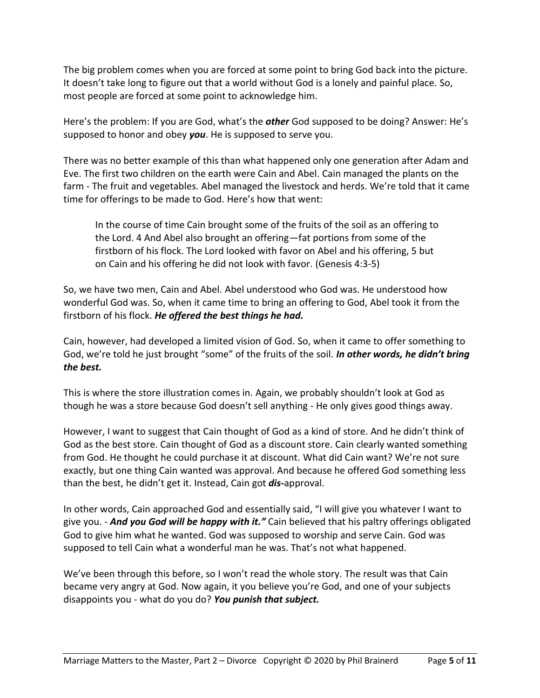The big problem comes when you are forced at some point to bring God back into the picture. It doesn't take long to figure out that a world without God is a lonely and painful place. So, most people are forced at some point to acknowledge him.

Here's the problem: If you are God, what's the *other* God supposed to be doing? Answer: He's supposed to honor and obey *you*. He is supposed to serve you.

There was no better example of this than what happened only one generation after Adam and Eve. The first two children on the earth were Cain and Abel. Cain managed the plants on the farm - The fruit and vegetables. Abel managed the livestock and herds. We're told that it came time for offerings to be made to God. Here's how that went:

In the course of time Cain brought some of the fruits of the soil as an offering to the Lord. 4 And Abel also brought an offering—fat portions from some of the firstborn of his flock. The Lord looked with favor on Abel and his offering, 5 but on Cain and his offering he did not look with favor. (Genesis 4:3-5)

So, we have two men, Cain and Abel. Abel understood who God was. He understood how wonderful God was. So, when it came time to bring an offering to God, Abel took it from the firstborn of his flock. *He offered the best things he had.*

Cain, however, had developed a limited vision of God. So, when it came to offer something to God, we're told he just brought "some" of the fruits of the soil. *In other words, he didn't bring the best.*

This is where the store illustration comes in. Again, we probably shouldn't look at God as though he was a store because God doesn't sell anything - He only gives good things away.

However, I want to suggest that Cain thought of God as a kind of store. And he didn't think of God as the best store. Cain thought of God as a discount store. Cain clearly wanted something from God. He thought he could purchase it at discount. What did Cain want? We're not sure exactly, but one thing Cain wanted was approval. And because he offered God something less than the best, he didn't get it. Instead, Cain got *dis-*approval.

In other words, Cain approached God and essentially said, "I will give you whatever I want to give you. - *And you God will be happy with it."* Cain believed that his paltry offerings obligated God to give him what he wanted. God was supposed to worship and serve Cain. God was supposed to tell Cain what a wonderful man he was. That's not what happened.

We've been through this before, so I won't read the whole story. The result was that Cain became very angry at God. Now again, it you believe you're God, and one of your subjects disappoints you - what do you do? *You punish that subject.*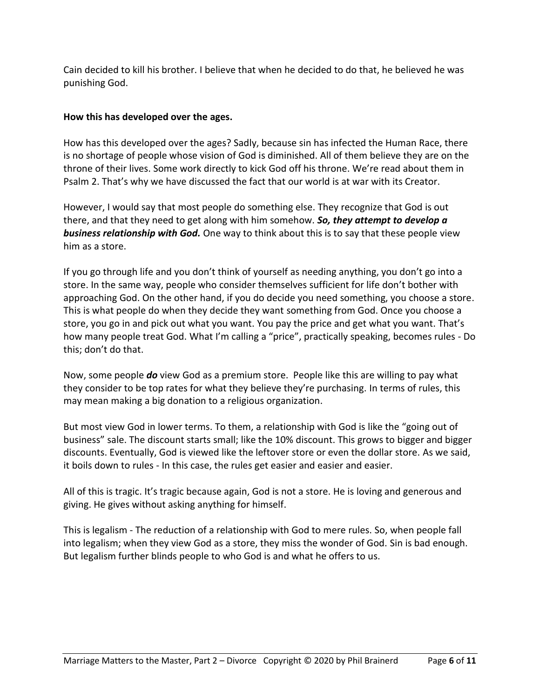Cain decided to kill his brother. I believe that when he decided to do that, he believed he was punishing God.

## **How this has developed over the ages.**

How has this developed over the ages? Sadly, because sin has infected the Human Race, there is no shortage of people whose vision of God is diminished. All of them believe they are on the throne of their lives. Some work directly to kick God off his throne. We're read about them in Psalm 2. That's why we have discussed the fact that our world is at war with its Creator.

However, I would say that most people do something else. They recognize that God is out there, and that they need to get along with him somehow. *So, they attempt to develop a business relationship with God.* One way to think about this is to say that these people view him as a store.

If you go through life and you don't think of yourself as needing anything, you don't go into a store. In the same way, people who consider themselves sufficient for life don't bother with approaching God. On the other hand, if you do decide you need something, you choose a store. This is what people do when they decide they want something from God. Once you choose a store, you go in and pick out what you want. You pay the price and get what you want. That's how many people treat God. What I'm calling a "price", practically speaking, becomes rules - Do this; don't do that.

Now, some people *do* view God as a premium store. People like this are willing to pay what they consider to be top rates for what they believe they're purchasing. In terms of rules, this may mean making a big donation to a religious organization.

But most view God in lower terms. To them, a relationship with God is like the "going out of business" sale. The discount starts small; like the 10% discount. This grows to bigger and bigger discounts. Eventually, God is viewed like the leftover store or even the dollar store. As we said, it boils down to rules - In this case, the rules get easier and easier and easier.

All of this is tragic. It's tragic because again, God is not a store. He is loving and generous and giving. He gives without asking anything for himself.

This is legalism - The reduction of a relationship with God to mere rules. So, when people fall into legalism; when they view God as a store, they miss the wonder of God. Sin is bad enough. But legalism further blinds people to who God is and what he offers to us.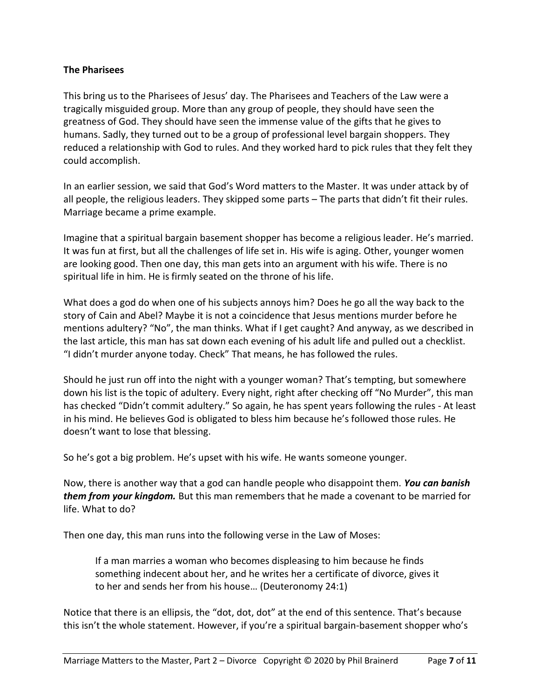### **The Pharisees**

This bring us to the Pharisees of Jesus' day. The Pharisees and Teachers of the Law were a tragically misguided group. More than any group of people, they should have seen the greatness of God. They should have seen the immense value of the gifts that he gives to humans. Sadly, they turned out to be a group of professional level bargain shoppers. They reduced a relationship with God to rules. And they worked hard to pick rules that they felt they could accomplish.

In an earlier session, we said that God's Word matters to the Master. It was under attack by of all people, the religious leaders. They skipped some parts – The parts that didn't fit their rules. Marriage became a prime example.

Imagine that a spiritual bargain basement shopper has become a religious leader. He's married. It was fun at first, but all the challenges of life set in. His wife is aging. Other, younger women are looking good. Then one day, this man gets into an argument with his wife. There is no spiritual life in him. He is firmly seated on the throne of his life.

What does a god do when one of his subjects annoys him? Does he go all the way back to the story of Cain and Abel? Maybe it is not a coincidence that Jesus mentions murder before he mentions adultery? "No", the man thinks. What if I get caught? And anyway, as we described in the last article, this man has sat down each evening of his adult life and pulled out a checklist. "I didn't murder anyone today. Check" That means, he has followed the rules.

Should he just run off into the night with a younger woman? That's tempting, but somewhere down his list is the topic of adultery. Every night, right after checking off "No Murder", this man has checked "Didn't commit adultery." So again, he has spent years following the rules - At least in his mind. He believes God is obligated to bless him because he's followed those rules. He doesn't want to lose that blessing.

So he's got a big problem. He's upset with his wife. He wants someone younger.

Now, there is another way that a god can handle people who disappoint them. *You can banish them from your kingdom.* But this man remembers that he made a covenant to be married for life. What to do?

Then one day, this man runs into the following verse in the Law of Moses:

If a man marries a woman who becomes displeasing to him because he finds something indecent about her, and he writes her a certificate of divorce, gives it to her and sends her from his house… (Deuteronomy 24:1)

Notice that there is an ellipsis, the "dot, dot, dot" at the end of this sentence. That's because this isn't the whole statement. However, if you're a spiritual bargain-basement shopper who's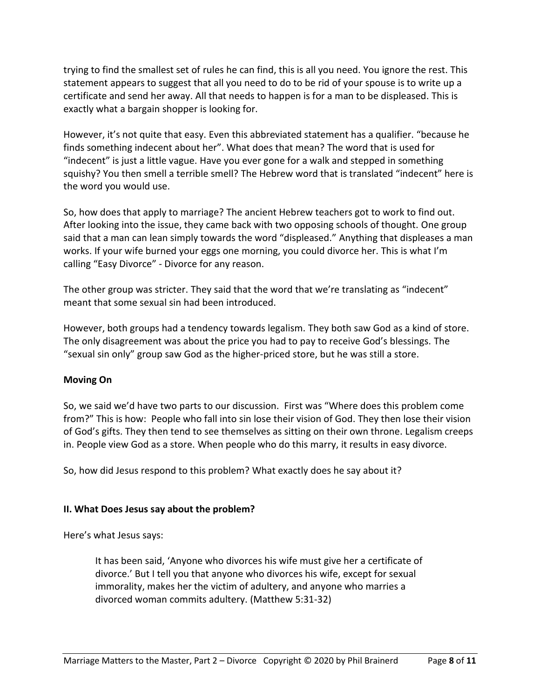trying to find the smallest set of rules he can find, this is all you need. You ignore the rest. This statement appears to suggest that all you need to do to be rid of your spouse is to write up a certificate and send her away. All that needs to happen is for a man to be displeased. This is exactly what a bargain shopper is looking for.

However, it's not quite that easy. Even this abbreviated statement has a qualifier. "because he finds something indecent about her". What does that mean? The word that is used for "indecent" is just a little vague. Have you ever gone for a walk and stepped in something squishy? You then smell a terrible smell? The Hebrew word that is translated "indecent" here is the word you would use.

So, how does that apply to marriage? The ancient Hebrew teachers got to work to find out. After looking into the issue, they came back with two opposing schools of thought. One group said that a man can lean simply towards the word "displeased." Anything that displeases a man works. If your wife burned your eggs one morning, you could divorce her. This is what I'm calling "Easy Divorce" - Divorce for any reason.

The other group was stricter. They said that the word that we're translating as "indecent" meant that some sexual sin had been introduced.

However, both groups had a tendency towards legalism. They both saw God as a kind of store. The only disagreement was about the price you had to pay to receive God's blessings. The "sexual sin only" group saw God as the higher-priced store, but he was still a store.

# **Moving On**

So, we said we'd have two parts to our discussion. First was "Where does this problem come from?" This is how: People who fall into sin lose their vision of God. They then lose their vision of God's gifts. They then tend to see themselves as sitting on their own throne. Legalism creeps in. People view God as a store. When people who do this marry, it results in easy divorce.

So, how did Jesus respond to this problem? What exactly does he say about it?

# **II. What Does Jesus say about the problem?**

Here's what Jesus says:

It has been said, 'Anyone who divorces his wife must give her a certificate of divorce.' But I tell you that anyone who divorces his wife, except for sexual immorality, makes her the victim of adultery, and anyone who marries a divorced woman commits adultery. (Matthew 5:31-32)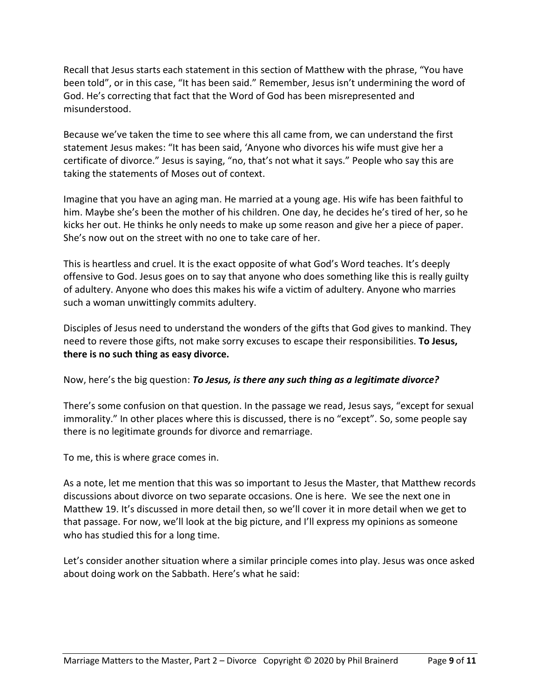Recall that Jesus starts each statement in this section of Matthew with the phrase, "You have been told", or in this case, "It has been said." Remember, Jesus isn't undermining the word of God. He's correcting that fact that the Word of God has been misrepresented and misunderstood.

Because we've taken the time to see where this all came from, we can understand the first statement Jesus makes: "It has been said, 'Anyone who divorces his wife must give her a certificate of divorce." Jesus is saying, "no, that's not what it says." People who say this are taking the statements of Moses out of context.

Imagine that you have an aging man. He married at a young age. His wife has been faithful to him. Maybe she's been the mother of his children. One day, he decides he's tired of her, so he kicks her out. He thinks he only needs to make up some reason and give her a piece of paper. She's now out on the street with no one to take care of her.

This is heartless and cruel. It is the exact opposite of what God's Word teaches. It's deeply offensive to God. Jesus goes on to say that anyone who does something like this is really guilty of adultery. Anyone who does this makes his wife a victim of adultery. Anyone who marries such a woman unwittingly commits adultery.

Disciples of Jesus need to understand the wonders of the gifts that God gives to mankind. They need to revere those gifts, not make sorry excuses to escape their responsibilities. **To Jesus, there is no such thing as easy divorce.**

Now, here's the big question: *To Jesus, is there any such thing as a legitimate divorce?*

There's some confusion on that question. In the passage we read, Jesus says, "except for sexual immorality." In other places where this is discussed, there is no "except". So, some people say there is no legitimate grounds for divorce and remarriage.

To me, this is where grace comes in.

As a note, let me mention that this was so important to Jesus the Master, that Matthew records discussions about divorce on two separate occasions. One is here. We see the next one in Matthew 19. It's discussed in more detail then, so we'll cover it in more detail when we get to that passage. For now, we'll look at the big picture, and I'll express my opinions as someone who has studied this for a long time.

Let's consider another situation where a similar principle comes into play. Jesus was once asked about doing work on the Sabbath. Here's what he said: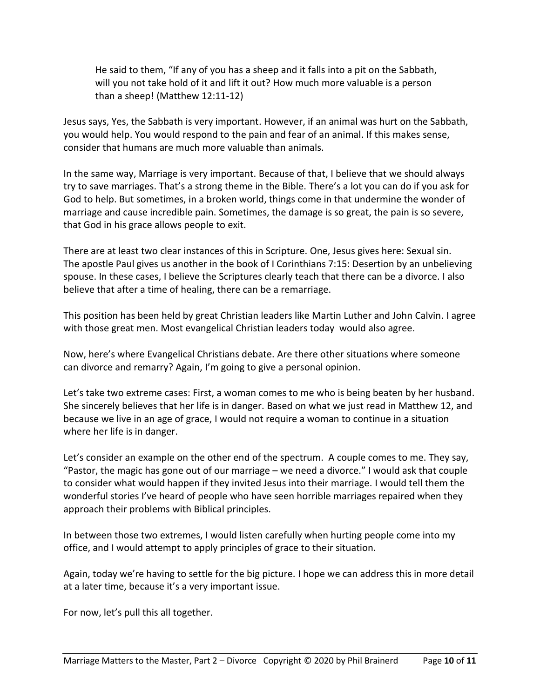He said to them, "If any of you has a sheep and it falls into a pit on the Sabbath, will you not take hold of it and lift it out? How much more valuable is a person than a sheep! (Matthew 12:11-12)

Jesus says, Yes, the Sabbath is very important. However, if an animal was hurt on the Sabbath, you would help. You would respond to the pain and fear of an animal. If this makes sense, consider that humans are much more valuable than animals.

In the same way, Marriage is very important. Because of that, I believe that we should always try to save marriages. That's a strong theme in the Bible. There's a lot you can do if you ask for God to help. But sometimes, in a broken world, things come in that undermine the wonder of marriage and cause incredible pain. Sometimes, the damage is so great, the pain is so severe, that God in his grace allows people to exit.

There are at least two clear instances of this in Scripture. One, Jesus gives here: Sexual sin. The apostle Paul gives us another in the book of I Corinthians 7:15: Desertion by an unbelieving spouse. In these cases, I believe the Scriptures clearly teach that there can be a divorce. I also believe that after a time of healing, there can be a remarriage.

This position has been held by great Christian leaders like Martin Luther and John Calvin. I agree with those great men. Most evangelical Christian leaders today would also agree.

Now, here's where Evangelical Christians debate. Are there other situations where someone can divorce and remarry? Again, I'm going to give a personal opinion.

Let's take two extreme cases: First, a woman comes to me who is being beaten by her husband. She sincerely believes that her life is in danger. Based on what we just read in Matthew 12, and because we live in an age of grace, I would not require a woman to continue in a situation where her life is in danger.

Let's consider an example on the other end of the spectrum. A couple comes to me. They say, "Pastor, the magic has gone out of our marriage – we need a divorce." I would ask that couple to consider what would happen if they invited Jesus into their marriage. I would tell them the wonderful stories I've heard of people who have seen horrible marriages repaired when they approach their problems with Biblical principles.

In between those two extremes, I would listen carefully when hurting people come into my office, and I would attempt to apply principles of grace to their situation.

Again, today we're having to settle for the big picture. I hope we can address this in more detail at a later time, because it's a very important issue.

For now, let's pull this all together.